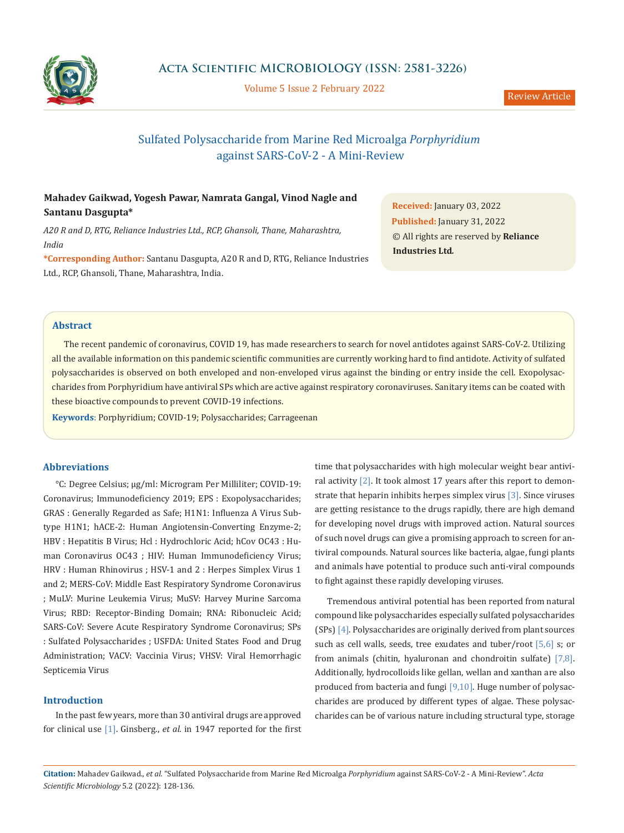

Volume 5 Issue 2 February 2022

# Sulfated Polysaccharide from Marine Red Microalga *Porphyridium* against SARS-CoV-2 - A Mini-Review

## **Mahadev Gaikwad, Yogesh Pawar, Namrata Gangal, Vinod Nagle and Santanu Dasgupta\***

*A20 R and D, RTG, Reliance Industries Ltd., RCP, Ghansoli, Thane, Maharashtra, India*

**\*Corresponding Author:** Santanu Dasgupta, A20 R and D, RTG, Reliance Industries Ltd., RCP, Ghansoli, Thane, Maharashtra, India.

**Received:** January 03, 2022 **Published:** January 31, 2022 © All rights are reserved by **Reliance Industries Ltd***.*

## **Abstract**

The recent pandemic of coronavirus, COVID 19, has made researchers to search for novel antidotes against SARS-CoV-2. Utilizing all the available information on this pandemic scientific communities are currently working hard to find antidote. Activity of sulfated polysaccharides is observed on both enveloped and non-enveloped virus against the binding or entry inside the cell. Exopolysaccharides from Porphyridium have antiviral SPs which are active against respiratory coronaviruses. Sanitary items can be coated with these bioactive compounds to prevent COVID-19 infections.

**Keywords**: Porphyridium; COVID-19; Polysaccharides; Carrageenan

## **Abbreviations**

°C: Degree Celsius; µg/ml: Microgram Per Milliliter; COVID-19: Coronavirus; Immunodeficiency 2019; EPS : Exopolysaccharides; GRAS : Generally Regarded as Safe; H1N1: Influenza A Virus Subtype H1N1; hACE-2: Human Angiotensin-Converting Enzyme-2; HBV : Hepatitis B Virus; Hcl : Hydrochloric Acid; hCov OC43 : Human Coronavirus OC43 ; HIV: Human Immunodeficiency Virus; HRV : Human Rhinovirus ; HSV-1 and 2 : Herpes Simplex Virus 1 and 2; MERS-CoV: Middle East Respiratory Syndrome Coronavirus ; MuLV: Murine Leukemia Virus; MuSV: Harvey Murine Sarcoma Virus; RBD: Receptor-Binding Domain; RNA: Ribonucleic Acid; SARS-CoV: Severe Acute Respiratory Syndrome Coronavirus; SPs : Sulfated Polysaccharides ; USFDA: United States Food and Drug Administration; VACV: Vaccinia Virus; VHSV: Viral Hemorrhagic Septicemia Virus

## **Introduction**

In the past few years, more than 30 antiviral drugs are approved for clinical use [1]. Ginsberg., *et al.* in 1947 reported for the first

time that polysaccharides with high molecular weight bear antiviral activity [2]. It took almost 17 years after this report to demonstrate that heparin inhibits herpes simplex virus [3]. Since viruses are getting resistance to the drugs rapidly, there are high demand for developing novel drugs with improved action. Natural sources of such novel drugs can give a promising approach to screen for antiviral compounds. Natural sources like bacteria, algae, fungi plants and animals have potential to produce such anti-viral compounds to fight against these rapidly developing viruses.

Tremendous antiviral potential has been reported from natural compound like polysaccharides especially sulfated polysaccharides (SPs) [4]. Polysaccharides are originally derived from plant sources such as cell walls, seeds, tree exudates and tuber/root [5,6] s; or from animals (chitin, hyaluronan and chondroitin sulfate) [7,8]. Additionally, hydrocolloids like gellan, wellan and xanthan are also produced from bacteria and fungi [9,10]. Huge number of polysaccharides are produced by different types of algae. These polysaccharides can be of various nature including structural type, storage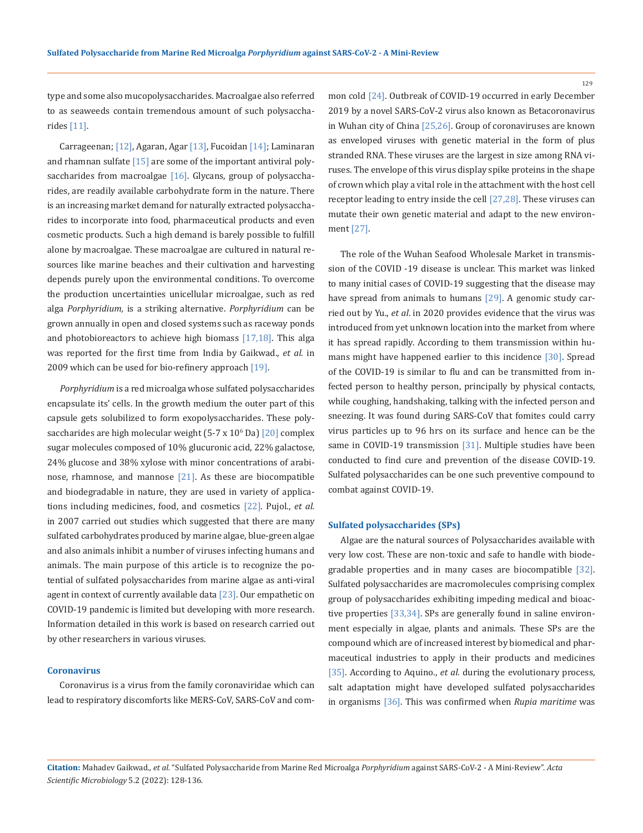type and some also mucopolysaccharides. Macroalgae also referred to as seaweeds contain tremendous amount of such polysaccharides [11].

Carrageenan; [12], Agaran, Agar [13], Fucoidan [14]; Laminaran and rhamnan sulfate [15] are some of the important antiviral polysaccharides from macroalgae  $[16]$ . Glycans, group of polysaccharides, are readily available carbohydrate form in the nature. There is an increasing market demand for naturally extracted polysaccharides to incorporate into food, pharmaceutical products and even cosmetic products. Such a high demand is barely possible to fulfill alone by macroalgae. These macroalgae are cultured in natural resources like marine beaches and their cultivation and harvesting depends purely upon the environmental conditions. To overcome the production uncertainties unicellular microalgae, such as red alga *Porphyridium,* is a striking alternative. *Porphyridium* can be grown annually in open and closed systems such as raceway ponds and photobioreactors to achieve high biomass  $[17,18]$ . This alga was reported for the first time from India by Gaikwad., *et al.* in 2009 which can be used for bio-refinery approach [19].

*Porphyridium* is a red microalga whose sulfated polysaccharides encapsulate its' cells. In the growth medium the outer part of this capsule gets solubilized to form exopolysaccharides. These polysaccharides are high molecular weight (5-7 x 10<sup>6</sup> Da) [20] complex sugar molecules composed of 10% glucuronic acid, 22% galactose, 24% glucose and 38% xylose with minor concentrations of arabinose, rhamnose, and mannose [21]. As these are biocompatible and biodegradable in nature, they are used in variety of applications including medicines, food, and cosmetics [22]. Pujol., *et al.* in 2007 carried out studies which suggested that there are many sulfated carbohydrates produced by marine algae, blue-green algae and also animals inhibit a number of viruses infecting humans and animals. The main purpose of this article is to recognize the potential of sulfated polysaccharides from marine algae as anti-viral agent in context of currently available data [23]. Our empathetic on COVID-19 pandemic is limited but developing with more research. Information detailed in this work is based on research carried out by other researchers in various viruses.

#### **Coronavirus**

Coronavirus is a virus from the family coronaviridae which can lead to respiratory discomforts like MERS-CoV, SARS-CoV and common cold [24]. Outbreak of COVID-19 occurred in early December 2019 by a novel SARS-CoV-2 virus also known as Betacoronavirus in Wuhan city of China [25,26]. Group of coronaviruses are known as enveloped viruses with genetic material in the form of plus stranded RNA. These viruses are the largest in size among RNA viruses. The envelope of this virus display spike proteins in the shape of crown which play a vital role in the attachment with the host cell receptor leading to entry inside the cell [27,28]. These viruses can mutate their own genetic material and adapt to the new environment [27].

The role of the Wuhan Seafood Wholesale Market in transmission of the COVID -19 disease is unclear. This market was linked to many initial cases of COVID-19 suggesting that the disease may have spread from animals to humans [29]. A genomic study carried out by Yu., *et al*. in 2020 provides evidence that the virus was introduced from yet unknown location into the market from where it has spread rapidly. According to them transmission within humans might have happened earlier to this incidence [30]. Spread of the COVID-19 is similar to flu and can be transmitted from infected person to healthy person, principally by physical contacts, while coughing, handshaking, talking with the infected person and sneezing. It was found during SARS-CoV that fomites could carry virus particles up to 96 hrs on its surface and hence can be the same in COVID-19 transmission [31]. Multiple studies have been conducted to find cure and prevention of the disease COVID-19. Sulfated polysaccharides can be one such preventive compound to combat against COVID-19.

#### **Sulfated polysaccharides (SPs)**

Algae are the natural sources of Polysaccharides available with very low cost. These are non-toxic and safe to handle with biodegradable properties and in many cases are biocompatible [32]. Sulfated polysaccharides are macromolecules comprising complex group of polysaccharides exhibiting impeding medical and bioactive properties [33,34]. SPs are generally found in saline environment especially in algae, plants and animals. These SPs are the compound which are of increased interest by biomedical and pharmaceutical industries to apply in their products and medicines [35]. According to Aquino., *et al.* during the evolutionary process, salt adaptation might have developed sulfated polysaccharides in organisms [36]. This was confirmed when *Rupia maritime* was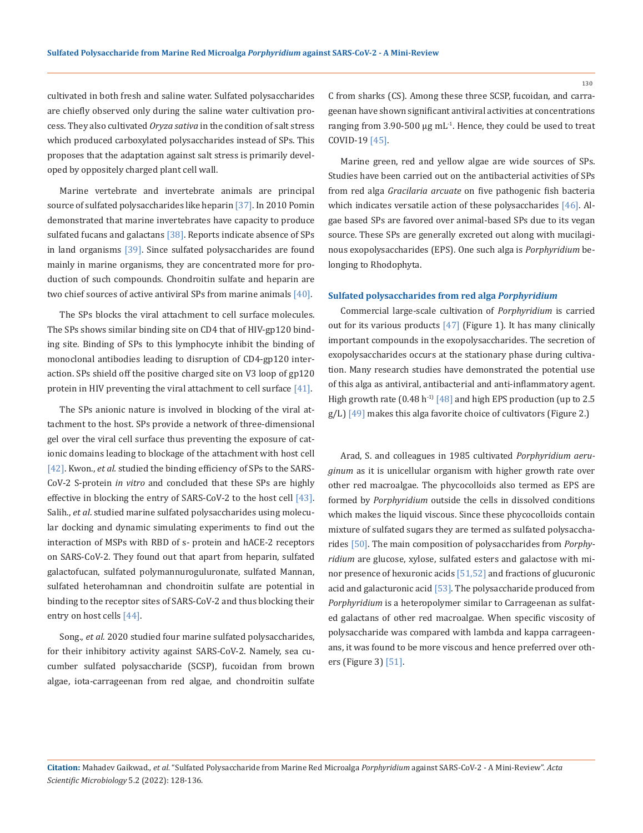cultivated in both fresh and saline water. Sulfated polysaccharides are chiefly observed only during the saline water cultivation process. They also cultivated *Oryza sativa* in the condition of salt stress which produced carboxylated polysaccharides instead of SPs. This proposes that the adaptation against salt stress is primarily developed by oppositely charged plant cell wall.

Marine vertebrate and invertebrate animals are principal source of sulfated polysaccharides like heparin [37]. In 2010 Pomin demonstrated that marine invertebrates have capacity to produce sulfated fucans and galactans  $[38]$ . Reports indicate absence of SPs in land organisms [39]. Since sulfated polysaccharides are found mainly in marine organisms, they are concentrated more for production of such compounds. Chondroitin sulfate and heparin are two chief sources of active antiviral SPs from marine animals [40].

The SPs blocks the viral attachment to cell surface molecules. The SPs shows similar binding site on CD4 that of HIV-gp120 binding site. Binding of SPs to this lymphocyte inhibit the binding of monoclonal antibodies leading to disruption of CD4-gp120 interaction. SPs shield off the positive charged site on V3 loop of gp120 protein in HIV preventing the viral attachment to cell surface [41].

The SPs anionic nature is involved in blocking of the viral attachment to the host. SPs provide a network of three-dimensional gel over the viral cell surface thus preventing the exposure of cationic domains leading to blockage of the attachment with host cell [42]. Kwon., *et al.* studied the binding efficiency of SPs to the SARS-CoV-2 S-protein *in vitro* and concluded that these SPs are highly effective in blocking the entry of SARS-CoV-2 to the host cell [43]. Salih., *et al*. studied marine sulfated polysaccharides using molecular docking and dynamic simulating experiments to find out the interaction of MSPs with RBD of s- protein and hACE-2 receptors on SARS-CoV-2. They found out that apart from heparin, sulfated galactofucan, sulfated polymannuroguluronate, sulfated Mannan, sulfated heterohamnan and chondroitin sulfate are potential in binding to the receptor sites of SARS-CoV-2 and thus blocking their entry on host cells [44].

Song., *et al.* 2020 studied four marine sulfated polysaccharides, for their inhibitory activity against SARS-CoV-2. Namely, sea cucumber sulfated polysaccharide (SCSP), fucoidan from brown algae, iota-carrageenan from red algae, and chondroitin sulfate C from sharks (CS). Among these three SCSP, fucoidan, and carrageenan have shown significant antiviral activities at concentrations ranging from 3.90-500 μg mL<sup>-1</sup>. Hence, they could be used to treat COVID-19 [45].

Marine green, red and yellow algae are wide sources of SPs. Studies have been carried out on the antibacterial activities of SPs from red alga *Gracilaria arcuate* on five pathogenic fish bacteria which indicates versatile action of these polysaccharides [46]. Algae based SPs are favored over animal-based SPs due to its vegan source. These SPs are generally excreted out along with mucilaginous exopolysaccharides (EPS). One such alga is *Porphyridium* belonging to Rhodophyta.

#### **Sulfated polysaccharides from red alga** *Porphyridium*

Commercial large-scale cultivation of *Porphyridium* is carried out for its various products  $[47]$  (Figure 1). It has many clinically important compounds in the exopolysaccharides. The secretion of exopolysaccharides occurs at the stationary phase during cultivation. Many research studies have demonstrated the potential use of this alga as antiviral, antibacterial and anti-inflammatory agent. High growth rate  $(0.48 \text{ h}^{-1})$  [48] and high EPS production (up to 2.5  $g/L$ ) [49] makes this alga favorite choice of cultivators (Figure 2.)

Arad, S. and colleagues in 1985 cultivated *Porphyridium aeruginum* as it is unicellular organism with higher growth rate over other red macroalgae. The phycocolloids also termed as EPS are formed by *Porphyridium* outside the cells in dissolved conditions which makes the liquid viscous. Since these phycocolloids contain mixture of sulfated sugars they are termed as sulfated polysaccharides [50]. The main composition of polysaccharides from *Porphyridium* are glucose, xylose, sulfated esters and galactose with minor presence of hexuronic acids [51,52] and fractions of glucuronic acid and galacturonic acid [53]. The polysaccharide produced from *Porphyridium* is a heteropolymer similar to Carrageenan as sulfated galactans of other red macroalgae. When specific viscosity of polysaccharide was compared with lambda and kappa carrageenans, it was found to be more viscous and hence preferred over others (Figure 3) [51].

**Citation:** Mahadev Gaikwad.*, et al.* "Sulfated Polysaccharide from Marine Red Microalga *Porphyridium* against SARS-CoV-2 - A Mini-Review". *Acta Scientific Microbiology* 5.2 (2022): 128-136.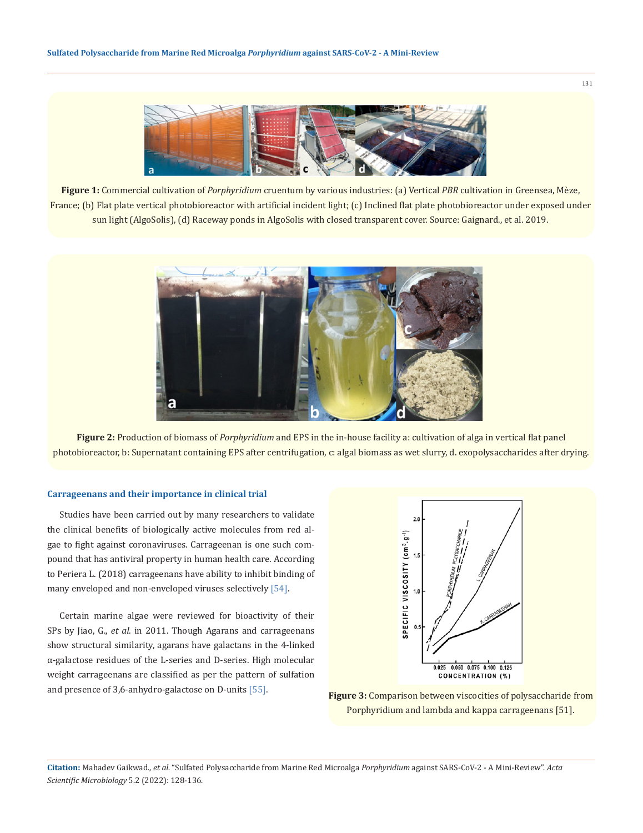

**Figure 1:** Commercial cultivation of *Porphyridium* cruentum by various industries: (a) Vertical *PBR* cultivation in Greensea, Mèze, France; (b) Flat plate vertical photobioreactor with artificial incident light; (c) Inclined flat plate photobioreactor under exposed under sun light (AlgoSolis), (d) Raceway ponds in AlgoSolis with closed transparent cover. Source: Gaignard., et al. 2019.



**Figure 2:** Production of biomass of *Porphyridium* and EPS in the in-house facility a: cultivation of alga in vertical flat panel photobioreactor, b: Supernatant containing EPS after centrifugation, c: algal biomass as wet slurry, d. exopolysaccharides after drying.

#### **Carrageenans and their importance in clinical trial**

Studies have been carried out by many researchers to validate the clinical benefits of biologically active molecules from red algae to fight against coronaviruses. Carrageenan is one such compound that has antiviral property in human health care. According to Periera L. (2018) carrageenans have ability to inhibit binding of many enveloped and non-enveloped viruses selectively [54].

Certain marine algae were reviewed for bioactivity of their SPs by Jiao, G., *et al.* in 2011. Though Agarans and carrageenans show structural similarity, agarans have galactans in the 4-linked α-galactose residues of the L-series and D-series. High molecular weight carrageenans are classified as per the pattern of sulfation and presence of 3,6-anhydro-galactose on D-units [55]. **Figure 3:** Comparison between viscocities of polysaccharide from



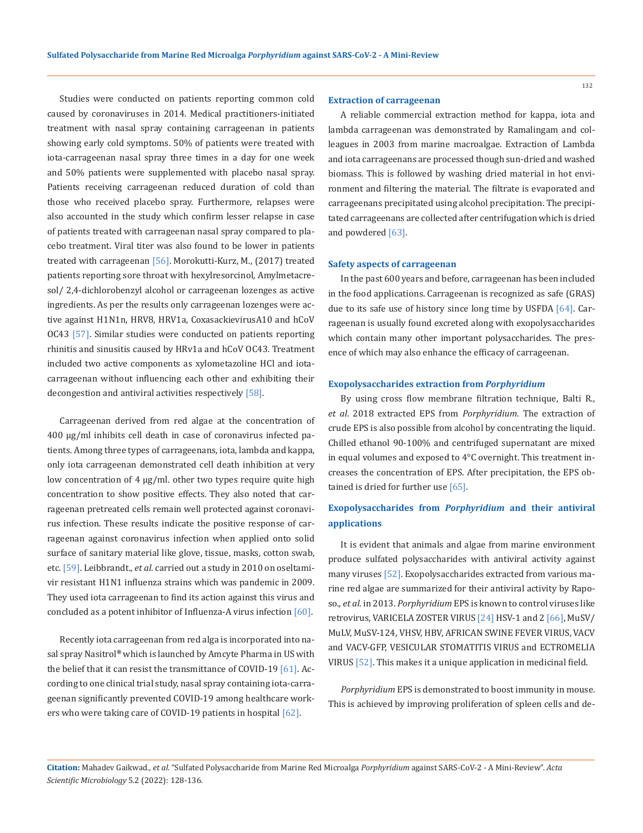Studies were conducted on patients reporting common cold caused by coronaviruses in 2014. Medical practitioners-initiated treatment with nasal spray containing carrageenan in patients showing early cold symptoms. 50% of patients were treated with iota-carrageenan nasal spray three times in a day for one week and 50% patients were supplemented with placebo nasal spray. Patients receiving carrageenan reduced duration of cold than those who received placebo spray. Furthermore, relapses were also accounted in the study which confirm lesser relapse in case of patients treated with carrageenan nasal spray compared to placebo treatment. Viral titer was also found to be lower in patients treated with carrageenan [56]. Morokutti-Kurz, M., (2017) treated patients reporting sore throat with hexylresorcinol, Amylmetacresol/ 2,4-dichlorobenzyl alcohol or carrageenan lozenges as active ingredients. As per the results only carrageenan lozenges were active against H1N1n, HRV8, HRV1a, CoxasackievirusA10 and hCoV OC43 [57]. Similar studies were conducted on patients reporting rhinitis and sinusitis caused by HRv1a and hCoV OC43. Treatment included two active components as xylometazoline HCl and iotacarrageenan without influencing each other and exhibiting their decongestion and antiviral activities respectively [58].

Carrageenan derived from red algae at the concentration of 400 µg/ml inhibits cell death in case of coronavirus infected patients. Among three types of carrageenans, iota, lambda and kappa, only iota carrageenan demonstrated cell death inhibition at very low concentration of 4 µg/ml. other two types require quite high concentration to show positive effects. They also noted that carrageenan pretreated cells remain well protected against coronavirus infection. These results indicate the positive response of carrageenan against coronavirus infection when applied onto solid surface of sanitary material like glove, tissue, masks, cotton swab, etc. [59]. Leibbrandt., *et al.* carried out a study in 2010 on oseltamivir resistant H1N1 influenza strains which was pandemic in 2009. They used iota carrageenan to find its action against this virus and concluded as a potent inhibitor of Influenza-A virus infection [60].

Recently iota carrageenan from red alga is incorporated into nasal spray Nasitrol**®** which is launched by Amcyte Pharma in US with the belief that it can resist the transmittance of COVID-19 [61]. According to one clinical trial study, nasal spray containing iota-carrageenan significantly prevented COVID-19 among healthcare workers who were taking care of COVID-19 patients in hospital [62].

#### **Extraction of carrageenan**

A reliable commercial extraction method for kappa, iota and lambda carrageenan was demonstrated by Ramalingam and colleagues in 2003 from marine macroalgae. Extraction of Lambda and iota carrageenans are processed though sun-dried and washed biomass. This is followed by washing dried material in hot environment and filtering the material. The filtrate is evaporated and carrageenans precipitated using alcohol precipitation. The precipitated carrageenans are collected after centrifugation which is dried and powdered [63].

#### **Safety aspects of carrageenan**

In the past 600 years and before, carrageenan has been included in the food applications. Carrageenan is recognized as safe (GRAS) due to its safe use of history since long time by USFDA [64]. Carrageenan is usually found excreted along with exopolysaccharides which contain many other important polysaccharides. The presence of which may also enhance the efficacy of carrageenan.

#### **Exopolysaccharides extraction from** *Porphyridium*

By using cross flow membrane filtration technique, Balti R., *et al*. 2018 extracted EPS from *Porphyridium*. The extraction of crude EPS is also possible from alcohol by concentrating the liquid. Chilled ethanol 90-100% and centrifuged supernatant are mixed in equal volumes and exposed to 4°C overnight. This treatment increases the concentration of EPS. After precipitation, the EPS obtained is dried for further use [65].

## **Exopolysaccharides from** *Porphyridium* **and their antiviral applications**

It is evident that animals and algae from marine environment produce sulfated polysaccharides with antiviral activity against many viruses [52]. Exopolysaccharides extracted from various marine red algae are summarized for their antiviral activity by Raposo., *et al.* in 2013. *Porphyridium* EPS is known to control viruses like retrovirus, VARICELA ZOSTER VIRUS [24] HSV-1 and 2 [66], MuSV/ MuLV, MuSV-124, VHSV, HBV, AFRICAN SWINE FEVER VIRUS, VACV and VACV-GFP, VESICULAR STOMATITIS VIRUS and ECTROMELIA VIRUS [52]. This makes it a unique application in medicinal field.

*Porphyridium* EPS is demonstrated to boost immunity in mouse. This is achieved by improving proliferation of spleen cells and de-

**Citation:** Mahadev Gaikwad.*, et al.* "Sulfated Polysaccharide from Marine Red Microalga *Porphyridium* against SARS-CoV-2 - A Mini-Review". *Acta Scientific Microbiology* 5.2 (2022): 128-136.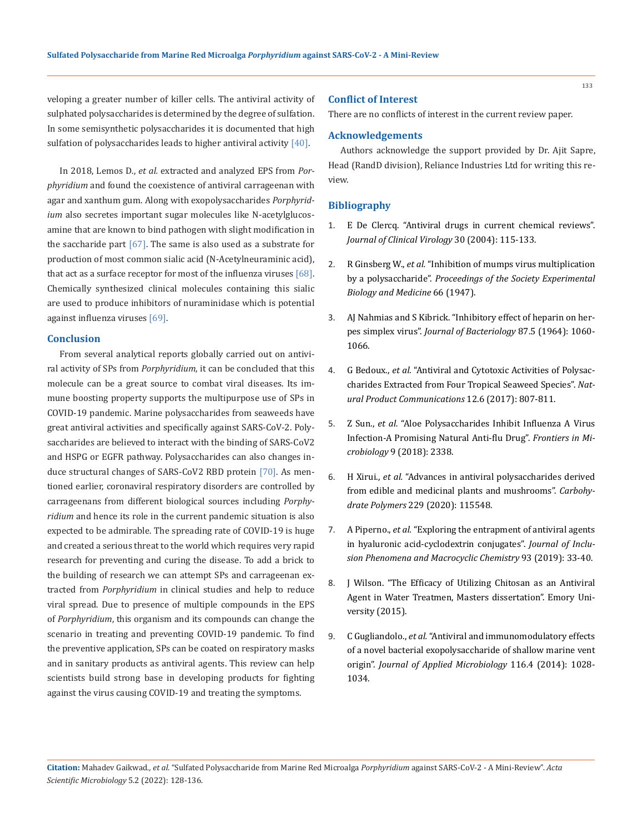veloping a greater number of killer cells. The antiviral activity of sulphated polysaccharides is determined by the degree of sulfation. In some semisynthetic polysaccharides it is documented that high sulfation of polysaccharides leads to higher antiviral activity [40].

In 2018, Lemos D., *et al.* extracted and analyzed EPS from *Porphyridium* and found the coexistence of antiviral carrageenan with agar and xanthum gum. Along with exopolysaccharides *Porphyridium* also secretes important sugar molecules like N-acetylglucosamine that are known to bind pathogen with slight modification in the saccharide part  $[67]$ . The same is also used as a substrate for production of most common sialic acid (N-Acetylneuraminic acid), that act as a surface receptor for most of the influenza viruses [68]. Chemically synthesized clinical molecules containing this sialic are used to produce inhibitors of nuraminidase which is potential against influenza viruses [69].

#### **Conclusion**

From several analytical reports globally carried out on antiviral activity of SPs from *Porphyridium*, it can be concluded that this molecule can be a great source to combat viral diseases. Its immune boosting property supports the multipurpose use of SPs in COVID-19 pandemic. Marine polysaccharides from seaweeds have great antiviral activities and specifically against SARS-CoV-2. Polysaccharides are believed to interact with the binding of SARS-CoV2 and HSPG or EGFR pathway. Polysaccharides can also changes induce structural changes of SARS-CoV2 RBD protein [70]. As mentioned earlier, coronaviral respiratory disorders are controlled by carrageenans from different biological sources including *Porphyridium* and hence its role in the current pandemic situation is also expected to be admirable. The spreading rate of COVID-19 is huge and created a serious threat to the world which requires very rapid research for preventing and curing the disease. To add a brick to the building of research we can attempt SPs and carrageenan extracted from *Porphyridium* in clinical studies and help to reduce viral spread. Due to presence of multiple compounds in the EPS of *Porphyridium*, this organism and its compounds can change the scenario in treating and preventing COVID-19 pandemic. To find the preventive application, SPs can be coated on respiratory masks and in sanitary products as antiviral agents. This review can help scientists build strong base in developing products for fighting against the virus causing COVID-19 and treating the symptoms.

#### **Conflict of Interest**

There are no conflicts of interest in the current review paper.

#### **Acknowledgements**

Authors acknowledge the support provided by Dr. Ajit Sapre, Head (RandD division), Reliance Industries Ltd for writing this review.

### **Bibliography**

- 1. [E De Clercq. "Antiviral drugs in current chemical reviews".](https://pubmed.ncbi.nlm.nih.gov/15125867/) *[Journal of Clinical Virology](https://pubmed.ncbi.nlm.nih.gov/15125867/)* 30 (2004): 115-133.
- 2. R Ginsberg W., *et al.* ["Inhibition of mumps virus multiplication](https://pubmed.ncbi.nlm.nih.gov/18912891/)  by a polysaccharide". *[Proceedings of the Society Experimental](https://pubmed.ncbi.nlm.nih.gov/18912891/)  [Biology and Medicine](https://pubmed.ncbi.nlm.nih.gov/18912891/)* 66 (1947).
- 3. [AJ Nahmias and S Kibrick. "Inhibitory effect of heparin on her](https://pubmed.ncbi.nlm.nih.gov/4289440/)pes simplex virus". *Journal of Bacteriology* [87.5 \(1964\): 1060-](https://pubmed.ncbi.nlm.nih.gov/4289440/) [1066.](https://pubmed.ncbi.nlm.nih.gov/4289440/)
- 4. G Bedoux., *et al.* ["Antiviral and Cytotoxic Activities of Polysac](https://journals.sagepub.com/doi/abs/10.1177/1934578X1701200602)[charides Extracted from Four Tropical Seaweed Species".](https://journals.sagepub.com/doi/abs/10.1177/1934578X1701200602) *Nat[ural Product Communications](https://journals.sagepub.com/doi/abs/10.1177/1934578X1701200602)* 12.6 (2017): 807-811.
- 5. Z Sun., *et al.* ["Aloe Polysaccharides Inhibit Influenza A Virus](https://pubmed.ncbi.nlm.nih.gov/30319596/) [Infection-A Promising Natural Anti-flu Drug".](https://pubmed.ncbi.nlm.nih.gov/30319596/) *Frontiers in Microbiology* [9 \(2018\): 2338.](https://pubmed.ncbi.nlm.nih.gov/30319596/)
- 6. H Xirui., *et al.* ["Advances in antiviral polysaccharides derived](https://pubmed.ncbi.nlm.nih.gov/31826474/)  [from edible and medicinal plants and mushrooms".](https://pubmed.ncbi.nlm.nih.gov/31826474/) *Carbohydrate Polymers* [229 \(2020\): 115548.](https://pubmed.ncbi.nlm.nih.gov/31826474/)
- 7. A Piperno., *et al.* ["Exploring the entrapment of antiviral agents](https://www.researchgate.net/publication/327179270_Exploring_the_entrapment_of_antiviral_agents_in_hyaluronic_acid-cyclodextrin_conjugates) [in hyaluronic acid-cyclodextrin conjugates".](https://www.researchgate.net/publication/327179270_Exploring_the_entrapment_of_antiviral_agents_in_hyaluronic_acid-cyclodextrin_conjugates) *Journal of Inclu[sion Phenomena and Macrocyclic Chemistry](https://www.researchgate.net/publication/327179270_Exploring_the_entrapment_of_antiviral_agents_in_hyaluronic_acid-cyclodextrin_conjugates)* 93 (2019): 33-40.
- 8. [J Wilson. "The Efficacy of Utilizing Chitosan as an Antiviral](https://scholarworks.gsu.edu/cgi/viewcontent.cgi?article=1425&context=iph_theses)  [Agent in Water Treatmen, Masters dissertation". Emory Uni](https://scholarworks.gsu.edu/cgi/viewcontent.cgi?article=1425&context=iph_theses)[versity \(2015\).](https://scholarworks.gsu.edu/cgi/viewcontent.cgi?article=1425&context=iph_theses)
- 9. C Gugliandolo., *et al.* ["Antiviral and immunomodulatory effects](https://pubmed.ncbi.nlm.nih.gov/24354946/)  [of a novel bacterial exopolysaccharide of shallow marine vent](https://pubmed.ncbi.nlm.nih.gov/24354946/)  origin". *[Journal of Applied Microbiology](https://pubmed.ncbi.nlm.nih.gov/24354946/)* 116.4 (2014): 1028- [1034.](https://pubmed.ncbi.nlm.nih.gov/24354946/)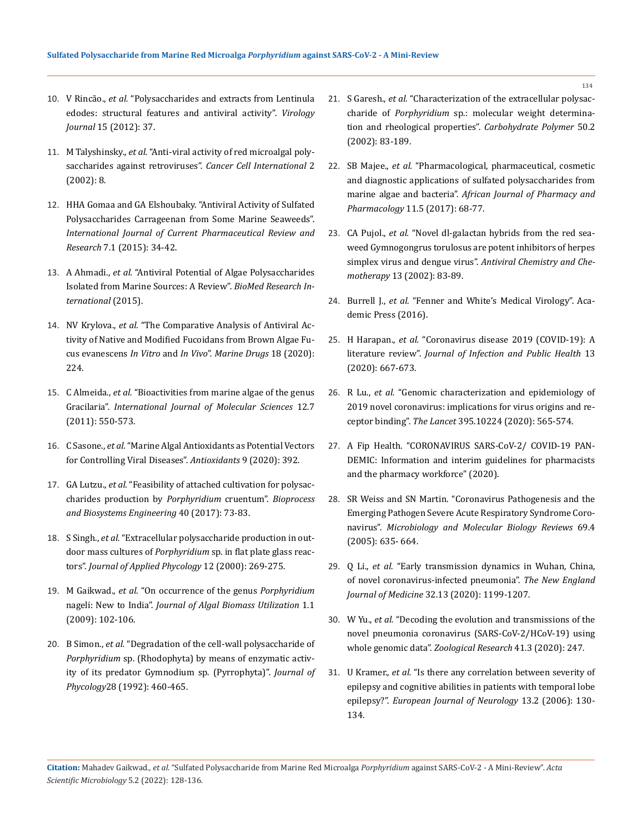- 10. V Rincão., *et al.* ["Polysaccharides and extracts from Lentinula](https://www.ncbi.nlm.nih.gov/pmc/articles/PMC3292946/) [edodes: structural features and antiviral activity".](https://www.ncbi.nlm.nih.gov/pmc/articles/PMC3292946/) *Virology Journal* [15 \(2012\): 37.](https://www.ncbi.nlm.nih.gov/pmc/articles/PMC3292946/)
- 11. M Talyshinsky., *et al.* ["Anti-viral activity of red microalgal poly](https://www.ncbi.nlm.nih.gov/pmc/articles/PMC140136/)[saccharides against retroviruses".](https://www.ncbi.nlm.nih.gov/pmc/articles/PMC140136/) *Cancer Cell International* 2 [\(2002\): 8.](https://www.ncbi.nlm.nih.gov/pmc/articles/PMC140136/)
- 12. [HHA Gomaa and GA Elshoubaky. "Antiviral Activity of Sulfated](https://www.ncbi.nlm.nih.gov/pmc/articles/PMC7836841/) [Polysaccharides Carrageenan from Some Marine Seaweeds".](https://www.ncbi.nlm.nih.gov/pmc/articles/PMC7836841/) *[International Journal of Current Pharmaceutical Review and](https://www.ncbi.nlm.nih.gov/pmc/articles/PMC7836841/) Research* [7.1 \(2015\): 34-42.](https://www.ncbi.nlm.nih.gov/pmc/articles/PMC7836841/)
- 13. A Ahmadi., *et al.* ["Antiviral Potential of Algae Polysaccharides](https://www.hindawi.com/journals/bmri/2015/825203/) [Isolated from Marine Sources: A Review".](https://www.hindawi.com/journals/bmri/2015/825203/) *BioMed Research In[ternational](https://www.hindawi.com/journals/bmri/2015/825203/)* (2015).
- 14. NV Krylova., *et al.* ["The Comparative Analysis of Antiviral Ac](https://www.ncbi.nlm.nih.gov/pmc/articles/PMC7230360/)[tivity of Native and Modified Fucoidans from Brown Algae Fu](https://www.ncbi.nlm.nih.gov/pmc/articles/PMC7230360/)cus evanescens *In Vitro* and *In Vivo*". *[Marine Drugs](https://www.ncbi.nlm.nih.gov/pmc/articles/PMC7230360/)* 18 (2020): [224.](https://www.ncbi.nlm.nih.gov/pmc/articles/PMC7230360/)
- 15. C Almeida., *et al.* ["Bioactivities from marine algae of the genus](https://www.ncbi.nlm.nih.gov/pmc/articles/PMC3155369/) Gracilaria". *[International Journal of Molecular Sciences](https://www.ncbi.nlm.nih.gov/pmc/articles/PMC3155369/)* 12.7 [\(2011\): 550-573.](https://www.ncbi.nlm.nih.gov/pmc/articles/PMC3155369/)
- 16. C Sasone., *et al.* ["Marine Algal Antioxidants as Potential Vectors](https://pubmed.ncbi.nlm.nih.gov/32392759/) [for Controlling Viral Diseases".](https://pubmed.ncbi.nlm.nih.gov/32392759/) *Antioxidants* 9 (2020): 392.
- 17. GA Lutzu., *et al.* ["Feasibility of attached cultivation for polysac](https://pubmed.ncbi.nlm.nih.gov/27614620/)[charides production by](https://pubmed.ncbi.nlm.nih.gov/27614620/) *Porphyridium* cruentum". *Bioprocess [and Biosystems Engineering](https://pubmed.ncbi.nlm.nih.gov/27614620/)* 40 (2017): 73-83.
- 18. S Singh., *et al.* ["Extracellular polysaccharide production in out](https://www.semanticscholar.org/paper/Extracellular-polysaccharide-production-in-outdoor-Singh-Arad/81adee647e7e142f9acd2994e10375d00c09572d)door mass cultures of *Porphyridium* [sp. in flat plate glass reac](https://www.semanticscholar.org/paper/Extracellular-polysaccharide-production-in-outdoor-Singh-Arad/81adee647e7e142f9acd2994e10375d00c09572d)tors". *[Journal of Applied Phycology](https://www.semanticscholar.org/paper/Extracellular-polysaccharide-production-in-outdoor-Singh-Arad/81adee647e7e142f9acd2994e10375d00c09572d)* 12 (2000): 269-275.
- 19. M Gaikwad., *et al.* ["On occurrence of the genus](https://www.researchgate.net/publication/317400246_ON_OCCURRENCE_OF_THE_GENUS_PORPHYRIDIUM_NAGELI_NEW_TO_INDIA) *Porphyridium* nageli: New to India". *[Journal of Algal Biomass Utilization](https://www.researchgate.net/publication/317400246_ON_OCCURRENCE_OF_THE_GENUS_PORPHYRIDIUM_NAGELI_NEW_TO_INDIA)* 1.1 [\(2009\): 102-106.](https://www.researchgate.net/publication/317400246_ON_OCCURRENCE_OF_THE_GENUS_PORPHYRIDIUM_NAGELI_NEW_TO_INDIA)
- 20. B Simon., *et al.* ["Degradation of the cell-wall polysaccharide of](https://onlinelibrary.wiley.com/doi/10.1111/j.0022-3646.1992.00460.x) *Porphyridium* [sp. \(Rhodophyta\) by means of enzymatic activ](https://onlinelibrary.wiley.com/doi/10.1111/j.0022-3646.1992.00460.x)[ity of its predator Gymnodium sp. \(Pyrrophyta\)".](https://onlinelibrary.wiley.com/doi/10.1111/j.0022-3646.1992.00460.x) *Journal of Phycology*[28 \(1992\): 460-465.](https://onlinelibrary.wiley.com/doi/10.1111/j.0022-3646.1992.00460.x)
- 21. S Garesh., *et al.* ["Characterization of the extracellular polysac](https://www.researchgate.net/publication/223924476_Characterization_of_the_extracellular_polysaccharide_of_Porphyridium_sp_Molecular_weight_determination_and_rheological_properties)charide of *Porphyridium* [sp.: molecular weight determina](https://www.researchgate.net/publication/223924476_Characterization_of_the_extracellular_polysaccharide_of_Porphyridium_sp_Molecular_weight_determination_and_rheological_properties)[tion and rheological properties".](https://www.researchgate.net/publication/223924476_Characterization_of_the_extracellular_polysaccharide_of_Porphyridium_sp_Molecular_weight_determination_and_rheological_properties) *Carbohydrate Polymer* 50.2 [\(2002\): 83-189.](https://www.researchgate.net/publication/223924476_Characterization_of_the_extracellular_polysaccharide_of_Porphyridium_sp_Molecular_weight_determination_and_rheological_properties)
- 22. SB Majee., *et al.* ["Pharmacological, pharmaceutical, cosmetic](https://www.researchgate.net/publication/313485474_Pharmacological_pharmaceutical_cosmetic_and_diagnostic_applications_of_sulfated_polysaccharides_from_marine_algae_and_bacteria) [and diagnostic applications of sulfated polysaccharides from](https://www.researchgate.net/publication/313485474_Pharmacological_pharmaceutical_cosmetic_and_diagnostic_applications_of_sulfated_polysaccharides_from_marine_algae_and_bacteria)  marine algae and bacteria". *African [Journal of Pharmacy and](https://www.researchgate.net/publication/313485474_Pharmacological_pharmaceutical_cosmetic_and_diagnostic_applications_of_sulfated_polysaccharides_from_marine_algae_and_bacteria)  Pharmacology* [11.5 \(2017\): 68-77.](https://www.researchgate.net/publication/313485474_Pharmacological_pharmaceutical_cosmetic_and_diagnostic_applications_of_sulfated_polysaccharides_from_marine_algae_and_bacteria)
- 23. CA Pujol., *et al.* ["Novel dl-galactan hybrids from the red sea](https://pubmed.ncbi.nlm.nih.gov/12238532/)[weed Gymnogongrus torulosus are potent inhibitors of herpes](https://pubmed.ncbi.nlm.nih.gov/12238532/) simplex virus and dengue virus". *[Antiviral Chemistry and Che](https://pubmed.ncbi.nlm.nih.gov/12238532/)motherapy* [13 \(2002\): 83-89.](https://pubmed.ncbi.nlm.nih.gov/12238532/)
- 24. Burrell J., *et al.* ["Fenner and White's Medical Virology". Aca](https://www.elsevier.com/books/fenner-and-whites-medical-virology/burrell/978-0-12-375156-0)[demic Press \(2016\).](https://www.elsevier.com/books/fenner-and-whites-medical-virology/burrell/978-0-12-375156-0)
- 25. H Harapan., *et al.* ["Coronavirus disease 2019 \(COVID-19\): A](https://pubmed.ncbi.nlm.nih.gov/32340833/)  literature review". *Journal of [Infection and Public Health](https://pubmed.ncbi.nlm.nih.gov/32340833/)* 13 [\(2020\): 667-673.](https://pubmed.ncbi.nlm.nih.gov/32340833/)
- 26. R Lu., *et al.* ["Genomic characterization and epidemiology of](https://pubmed.ncbi.nlm.nih.gov/32007145/) [2019 novel coronavirus: implications for virus origins and re](https://pubmed.ncbi.nlm.nih.gov/32007145/)ceptor binding". *The Lancet* [395.10224 \(2020\): 565-574.](https://pubmed.ncbi.nlm.nih.gov/32007145/)
- 27. [A Fip Health. "CORONAVIRUS SARS-CoV-2/ COVID-19 PAN-](https://www.fip.org/files/content/priority-areas/coronavirus/Coronavirus-guidance-update-ENGLISH.pdf)[DEMIC: Information and interim guidelines for pharmacists](https://www.fip.org/files/content/priority-areas/coronavirus/Coronavirus-guidance-update-ENGLISH.pdf) [and the pharmacy workforce" \(2020\).](https://www.fip.org/files/content/priority-areas/coronavirus/Coronavirus-guidance-update-ENGLISH.pdf)
- 28. [SR Weiss and SN Martin. "Coronavirus Pathogenesis and the](https://pubmed.ncbi.nlm.nih.gov/16339739/) [Emerging Pathogen Severe Acute Respiratory Syndrome Coro](https://pubmed.ncbi.nlm.nih.gov/16339739/)navirus". *[Microbiology and Molecular Biology Reviews](https://pubmed.ncbi.nlm.nih.gov/16339739/)* 69.4 [\(2005\): 635- 664.](https://pubmed.ncbi.nlm.nih.gov/16339739/)
- 29. Q Li., *et al.* ["Early transmission dynamics in Wuhan, China,](https://www.nejm.org/doi/full/10.1056/nejmoa2001316) [of novel coronavirus-infected pneumonia".](https://www.nejm.org/doi/full/10.1056/nejmoa2001316) *The New England Journal of Medicine* [32.13 \(2020\): 1199-1207.](https://www.nejm.org/doi/full/10.1056/nejmoa2001316)
- 30. W Yu., *et al.* ["Decoding the evolution and transmissions of the](https://pubmed.ncbi.nlm.nih.gov/32351056/)  [novel pneumonia coronavirus \(SARS-CoV-2/HCoV-19\) using](https://pubmed.ncbi.nlm.nih.gov/32351056/) [whole genomic data".](https://pubmed.ncbi.nlm.nih.gov/32351056/) *Zoological Research* 41.3 (2020): 247.
- 31. U Kramer., *et al.* ["Is there any correlation between severity of](https://pubmed.ncbi.nlm.nih.gov/16490042/) [epilepsy and cognitive abilities in patients with temporal lobe](https://pubmed.ncbi.nlm.nih.gov/16490042/)  epilepsy?". *[European Journal of Neurology](https://pubmed.ncbi.nlm.nih.gov/16490042/)* 13.2 (2006): 130- [134.](https://pubmed.ncbi.nlm.nih.gov/16490042/)

**Citation:** Mahadev Gaikwad.*, et al.* "Sulfated Polysaccharide from Marine Red Microalga *Porphyridium* against SARS-CoV-2 - A Mini-Review". *Acta Scientific Microbiology* 5.2 (2022): 128-136.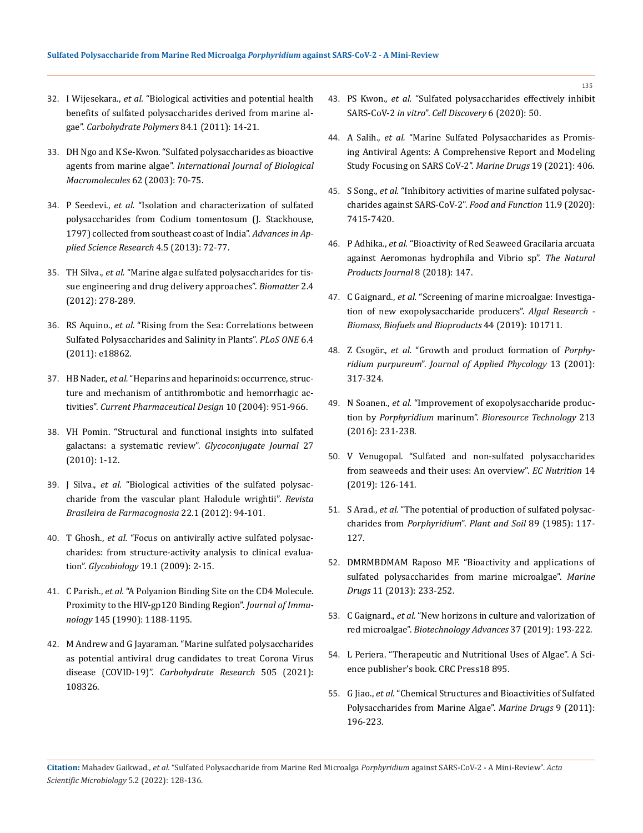- 32. I Wijesekara., *et al.* ["Biological activities and potential health](https://www.sciencedirect.com/science/article/abs/pii/S0144861710008751) [benefits of sulfated polysaccharides derived from marine al](https://www.sciencedirect.com/science/article/abs/pii/S0144861710008751)gae". *[Carbohydrate Polymers](https://www.sciencedirect.com/science/article/abs/pii/S0144861710008751)* 84.1 (2011): 14-21.
- 33. [DH Ngo and K Se-Kwon. "Sulfated polysaccharides as bioactive](https://pubmed.ncbi.nlm.nih.gov/23994790/) agents from marine algae". *[International Journal of Biological](https://pubmed.ncbi.nlm.nih.gov/23994790/) [Macromolecules](https://pubmed.ncbi.nlm.nih.gov/23994790/)* 62 (2003): 70-75.
- 34. P Seedevi., *et al.* ["Isolation and characterization of sulfated](https://www.imedpub.com/articles/isolation-and-characterization-of-sulphated-polysaccharides-from-codiumtomentosum-j-stackhouse-1797-collected-from-southeast-coast.pdf) [polysaccharides from Codium tomentosum \(J. Stackhouse,](https://www.imedpub.com/articles/isolation-and-characterization-of-sulphated-polysaccharides-from-codiumtomentosum-j-stackhouse-1797-collected-from-southeast-coast.pdf) [1797\) collected from southeast coast of India".](https://www.imedpub.com/articles/isolation-and-characterization-of-sulphated-polysaccharides-from-codiumtomentosum-j-stackhouse-1797-collected-from-southeast-coast.pdf) *Advances in Applied Science Research* [4.5 \(2013\): 72-77.](https://www.imedpub.com/articles/isolation-and-characterization-of-sulphated-polysaccharides-from-codiumtomentosum-j-stackhouse-1797-collected-from-southeast-coast.pdf)
- 35. TH Silva., *et al.* ["Marine algae sulfated polysaccharides for tis](https://www.ncbi.nlm.nih.gov/pmc/articles/PMC3568112/)[sue engineering and drug delivery approaches".](https://www.ncbi.nlm.nih.gov/pmc/articles/PMC3568112/) *Biomatter* 2.4 [\(2012\): 278-289.](https://www.ncbi.nlm.nih.gov/pmc/articles/PMC3568112/)
- 36. RS Aquino., *et al.* ["Rising from the Sea: Correlations between](https://pubmed.ncbi.nlm.nih.gov/21552557/) [Sulfated Polysaccharides and Salinity in Plants".](https://pubmed.ncbi.nlm.nih.gov/21552557/) *PLoS ONE* 6.4 [\(2011\): e18862.](https://pubmed.ncbi.nlm.nih.gov/21552557/)
- 37. HB Nader., *et al.* ["Heparins and heparinoids: occurrence, struc](https://pubmed.ncbi.nlm.nih.gov/15078126/)[ture and mechanism of antithrombotic and hemorrhagic ac](https://pubmed.ncbi.nlm.nih.gov/15078126/)tivities". *[Current Pharmaceutical Design](https://pubmed.ncbi.nlm.nih.gov/15078126/)* 10 (2004): 951-966.
- 38. [VH Pomin. "Structural and functional insights into sulfated](https://pubmed.ncbi.nlm.nih.gov/19568930/) [galactans: a systematic review".](https://pubmed.ncbi.nlm.nih.gov/19568930/) *Glycoconjugate Journal* 27 [\(2010\): 1-12.](https://pubmed.ncbi.nlm.nih.gov/19568930/)
- 39. J Silva., *et al.* ["Biological activities of the sulfated polysac](https://www.researchgate.net/publication/262627641_Biological_activities_of_the_sulfated_polysaccharide_from_the_vascular_plant_Halodule_wrightii)[charide from the vascular plant Halodule wrightii".](https://www.researchgate.net/publication/262627641_Biological_activities_of_the_sulfated_polysaccharide_from_the_vascular_plant_Halodule_wrightii) *Revista [Brasileira de Farmacognosia](https://www.researchgate.net/publication/262627641_Biological_activities_of_the_sulfated_polysaccharide_from_the_vascular_plant_Halodule_wrightii)* 22.1 (2012): 94-101.
- 40. T Ghosh., *et al.* ["Focus on antivirally active sulfated polysac](https://pubmed.ncbi.nlm.nih.gov/18815291/)[charides: from structure-activity analysis to clinical evalua](https://pubmed.ncbi.nlm.nih.gov/18815291/)tion". *Glycobiology* [19.1 \(2009\): 2-15.](https://pubmed.ncbi.nlm.nih.gov/18815291/)
- 41. C Parish., *et al.* ["A Polyanion Binding Site on the CD4 Molecule.](https://pubmed.ncbi.nlm.nih.gov/2380554/) [Proximity to the HIV-gp120 Binding Region".](https://pubmed.ncbi.nlm.nih.gov/2380554/) *Journal of Immunology* [145 \(1990\): 1188-1195.](https://pubmed.ncbi.nlm.nih.gov/2380554/)
- 42. [M Andrew and G Jayaraman. "Marine sulfated polysaccharides](https://www.sciencedirect.com/science/article/pii/S0008621521000951) [as potential antiviral drug candidates to treat Corona Virus](https://www.sciencedirect.com/science/article/pii/S0008621521000951) disease (COVID-19)". *[Carbohydrate Research](https://www.sciencedirect.com/science/article/pii/S0008621521000951)* 505 (2021): [108326.](https://www.sciencedirect.com/science/article/pii/S0008621521000951)
- 43. PS Kwon., *et al.* ["Sulfated polysaccharides effectively inhibit](https://www.nature.com/articles/s41421-020-00192-8) SARS-CoV-2 *in vitro*". *[Cell Discovery](https://www.nature.com/articles/s41421-020-00192-8)* 6 (2020): 50.
- 44. A Salih., *et al.* ["Marine Sulfated Polysaccharides as Promis](https://www.proquest.com/openview/b11fe565dc6a1be220b045b251b3c61e/1?pq-origsite=gscholar&cbl=2032365)[ing Antiviral Agents: A Comprehensive Report and Modeling](https://www.proquest.com/openview/b11fe565dc6a1be220b045b251b3c61e/1?pq-origsite=gscholar&cbl=2032365)  [Study Focusing on SARS CoV-2".](https://www.proquest.com/openview/b11fe565dc6a1be220b045b251b3c61e/1?pq-origsite=gscholar&cbl=2032365) *Marine Drugs* 19 (2021): 406.
- 45. S Song., *et al.* ["Inhibitory activities of marine sulfated polysac](https://pubs.rsc.org/en/content/articlelanding/2020/fo/d0fo02017f)[charides against SARS-CoV-2".](https://pubs.rsc.org/en/content/articlelanding/2020/fo/d0fo02017f) *Food and Function* 11.9 (2020): [7415-7420.](https://pubs.rsc.org/en/content/articlelanding/2020/fo/d0fo02017f)
- 46. P Adhika., *et al.* ["Bioactivity of Red Seaweed Gracilaria arcuata](https://www.researchgate.net/publication/320121626_Bioactivity_of_Red_Seaweed_Gracilaria_arcuata_against_Aeromonas_hydrophila_and_Vibrio_sp)  [against Aeromonas hydrophila and Vibrio sp".](https://www.researchgate.net/publication/320121626_Bioactivity_of_Red_Seaweed_Gracilaria_arcuata_against_Aeromonas_hydrophila_and_Vibrio_sp) *The Natural [Products Journal](https://www.researchgate.net/publication/320121626_Bioactivity_of_Red_Seaweed_Gracilaria_arcuata_against_Aeromonas_hydrophila_and_Vibrio_sp)* 8 (2018): 147.
- 47. C Gaignard., *et al.* ["Screening of marine microalgae: Investiga](https://www.sciencedirect.com/science/article/abs/pii/S2211926419303261)[tion of new exopolysaccharide producers".](https://www.sciencedirect.com/science/article/abs/pii/S2211926419303261) *Algal Research - [Biomass, Biofuels and Bioproducts](https://www.sciencedirect.com/science/article/abs/pii/S2211926419303261)* 44 (2019): 101711.
- 48. Z Csogör., *et al.* ["Growth and product formation of](https://www.researchgate.net/publication/226305987_Growth_and_product_formation_of_Porphyridium_purpureum) *Porphyridium purpureum*". *[Journal of Applied Phycology](https://www.researchgate.net/publication/226305987_Growth_and_product_formation_of_Porphyridium_purpureum)* 13 (2001): [317-324.](https://www.researchgate.net/publication/226305987_Growth_and_product_formation_of_Porphyridium_purpureum)
- 49. N Soanen., *et al.* ["Improvement of exopolysaccharide produc](https://pubmed.ncbi.nlm.nih.gov/26944455/)tion by *Porphyridium* marinum". *[Bioresource Technology](https://pubmed.ncbi.nlm.nih.gov/26944455/)* 213 [\(2016\): 231-238.](https://pubmed.ncbi.nlm.nih.gov/26944455/)
- 50. [V Venugopal. "Sulfated and non-sulfated polysaccharides](https://www.ncbi.nlm.nih.gov/pmc/articles/PMC4820297/) [from seaweeds and their uses: An overview".](https://www.ncbi.nlm.nih.gov/pmc/articles/PMC4820297/) *EC Nutrition* 14 [\(2019\): 126-141.](https://www.ncbi.nlm.nih.gov/pmc/articles/PMC4820297/)
- 51. S Arad., *et al.* ["The potential of production of sulfated polysac](https://www.researchgate.net/publication/225526593_The_potential_of_production_of_sulfated_polysaccharides_from_Porphyridium)charides from *Porphyridium*". *[Plant and Soil](https://www.researchgate.net/publication/225526593_The_potential_of_production_of_sulfated_polysaccharides_from_Porphyridium)* 89 (1985): 117- [127.](https://www.researchgate.net/publication/225526593_The_potential_of_production_of_sulfated_polysaccharides_from_Porphyridium)
- 52. [DMRMBDMAM Raposo MF. "Bioactivity and applications of](https://pubmed.ncbi.nlm.nih.gov/23344113/) [sulfated polysaccharides from marine microalgae".](https://pubmed.ncbi.nlm.nih.gov/23344113/) *Marine Drugs* [11 \(2013\): 233-252.](https://pubmed.ncbi.nlm.nih.gov/23344113/)
- 53. C Gaignard., *et al.* ["New horizons in culture and valorization of](https://pubmed.ncbi.nlm.nih.gov/30500354/)  red microalgae". *Biotechnology Advances* [37 \(2019\): 193-222.](https://pubmed.ncbi.nlm.nih.gov/30500354/)
- 54. [L Periera. "Therapeutic and Nutritional Uses of Algae". A Sci](https://www.researchgate.net/publication/322619692_Therapeutic_and_nutritional_use_of_algae-promo_CRC)[ence publisher's book. CRC Press18 895.](https://www.researchgate.net/publication/322619692_Therapeutic_and_nutritional_use_of_algae-promo_CRC)
- 55. G Jiao., *et al.* ["Chemical Structures and Bioactivities of Sulfated](https://www.ncbi.nlm.nih.gov/pmc/articles/PMC3093253/) [Polysaccharides from Marine Algae".](https://www.ncbi.nlm.nih.gov/pmc/articles/PMC3093253/) *Marine Drugs* 9 (2011): [196-223.](https://www.ncbi.nlm.nih.gov/pmc/articles/PMC3093253/)

**Citation:** Mahadev Gaikwad.*, et al.* "Sulfated Polysaccharide from Marine Red Microalga *Porphyridium* against SARS-CoV-2 - A Mini-Review". *Acta Scientific Microbiology* 5.2 (2022): 128-136.